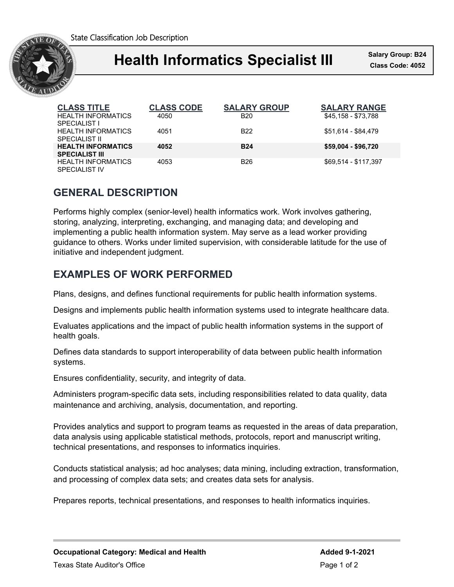State Classification Job Description



## Ι **Health Informatics Specialist III Class Code: 4052**

**Salary Group: B24**

| <b>CLASS TITLE</b>                                 | <b>CLASS CODE</b> | <b>SALARY GROUP</b> | <b>SALARY RANGE</b>  |
|----------------------------------------------------|-------------------|---------------------|----------------------|
| <b>HEALTH INFORMATICS</b><br><b>SPECIALIST I</b>   | 4050              | <b>B20</b>          | \$45,158 - \$73,788  |
| <b>HEALTH INFORMATICS</b><br>SPECIAL IST II        | 4051              | B <sub>22</sub>     | \$51,614 - \$84,479  |
| <b>HEALTH INFORMATICS</b><br><b>SPECIALIST III</b> | 4052              | <b>B24</b>          | \$59,004 - \$96,720  |
| <b>HEALTH INFORMATICS</b><br>SPECIAL IST IV        | 4053              | B <sub>26</sub>     | \$69.514 - \$117.397 |

# **GENERAL DESCRIPTION**

Performs highly complex (senior-level) health informatics work. Work involves gathering, storing, analyzing, interpreting, exchanging, and managing data; and developing and implementing a public health information system. May serve as a lead worker providing guidance to others. Works under limited supervision, with considerable latitude for the use of initiative and independent judgment.

# **EXAMPLES OF WORK PERFORMED**

Plans, designs, and defines functional requirements for public health information systems.

Designs and implements public health information systems used to integrate healthcare data.

Evaluates applications and the impact of public health information systems in the support of health goals.

Defines data standards to support interoperability of data between public health information systems.

Ensures confidentiality, security, and integrity of data.

Administers program-specific data sets, including responsibilities related to data quality, data maintenance and archiving, analysis, documentation, and reporting.

Provides analytics and support to program teams as requested in the areas of data preparation, data analysis using applicable statistical methods, protocols, report and manuscript writing, technical presentations, and responses to informatics inquiries.

Conducts statistical analysis; ad hoc analyses; data mining, including extraction, transformation, and processing of complex data sets; and creates data sets for analysis.

Prepares reports, technical presentations, and responses to health informatics inquiries.